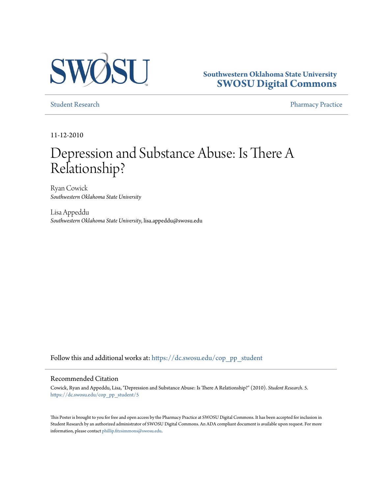

## **Southwestern Oklahoma State University [SWOSU Digital Commons](https://dc.swosu.edu/?utm_source=dc.swosu.edu%2Fcop_pp_student%2F5&utm_medium=PDF&utm_campaign=PDFCoverPages)**

[Student Research](https://dc.swosu.edu/cop_pp_student?utm_source=dc.swosu.edu%2Fcop_pp_student%2F5&utm_medium=PDF&utm_campaign=PDFCoverPages) **[Pharmacy Practice](https://dc.swosu.edu/pp?utm_source=dc.swosu.edu%2Fcop_pp_student%2F5&utm_medium=PDF&utm_campaign=PDFCoverPages)** 

11-12-2010

# Depression and Substance Abuse: Is There A Relationship?

Ryan Cowick *Southwestern Oklahoma State University*

Lisa Appeddu *Southwestern Oklahoma State University*, lisa.appeddu@swosu.edu

Follow this and additional works at: [https://dc.swosu.edu/cop\\_pp\\_student](https://dc.swosu.edu/cop_pp_student?utm_source=dc.swosu.edu%2Fcop_pp_student%2F5&utm_medium=PDF&utm_campaign=PDFCoverPages)

#### Recommended Citation

Cowick, Ryan and Appeddu, Lisa, "Depression and Substance Abuse: Is There A Relationship?" (2010). *Student Research*. 5. [https://dc.swosu.edu/cop\\_pp\\_student/5](https://dc.swosu.edu/cop_pp_student/5?utm_source=dc.swosu.edu%2Fcop_pp_student%2F5&utm_medium=PDF&utm_campaign=PDFCoverPages)

This Poster is brought to you for free and open access by the Pharmacy Practice at SWOSU Digital Commons. It has been accepted for inclusion in Student Research by an authorized administrator of SWOSU Digital Commons. An ADA compliant document is available upon request. For more information, please contact [phillip.fitzsimmons@swosu.edu](mailto:phillip.fitzsimmons@swosu.edu).